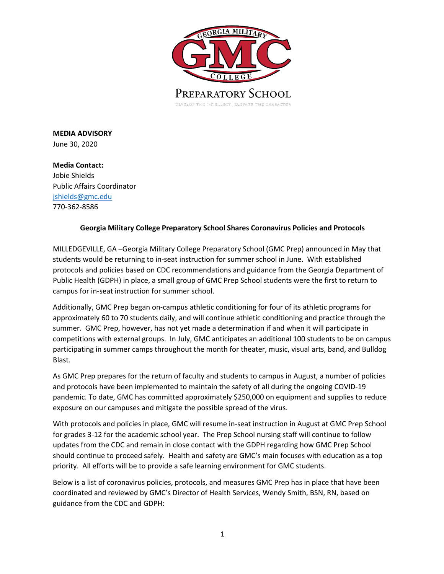

**MEDIA ADVISORY** June 30, 2020

**Media Contact:**  Jobie Shields Public Affairs Coordinator jshields@gmc.edu 770-362-8586

## **Georgia Military College Preparatory School Shares Coronavirus Policies and Protocols**

MILLEDGEVILLE, GA –Georgia Military College Preparatory School (GMC Prep) announced in May that students would be returning to in-seat instruction for summer school in June. With established protocols and policies based on CDC recommendations and guidance from the Georgia Department of Public Health (GDPH) in place, a small group of GMC Prep School students were the first to return to campus for in-seat instruction for summer school.

Additionally, GMC Prep began on-campus athletic conditioning for four of its athletic programs for approximately 60 to 70 students daily, and will continue athletic conditioning and practice through the summer. GMC Prep, however, has not yet made a determination if and when it will participate in competitions with external groups. In July, GMC anticipates an additional 100 students to be on campus participating in summer camps throughout the month for theater, music, visual arts, band, and Bulldog Blast.

As GMC Prep prepares for the return of faculty and students to campus in August, a number of policies and protocols have been implemented to maintain the safety of all during the ongoing COVID-19 pandemic. To date, GMC has committed approximately \$250,000 on equipment and supplies to reduce exposure on our campuses and mitigate the possible spread of the virus.

With protocols and policies in place, GMC will resume in-seat instruction in August at GMC Prep School for grades 3-12 for the academic school year. The Prep School nursing staff will continue to follow updates from the CDC and remain in close contact with the GDPH regarding how GMC Prep School should continue to proceed safely. Health and safety are GMC's main focuses with education as a top priority. All efforts will be to provide a safe learning environment for GMC students.

Below is a list of coronavirus policies, protocols, and measures GMC Prep has in place that have been coordinated and reviewed by GMC's Director of Health Services, Wendy Smith, BSN, RN, based on guidance from the CDC and GDPH: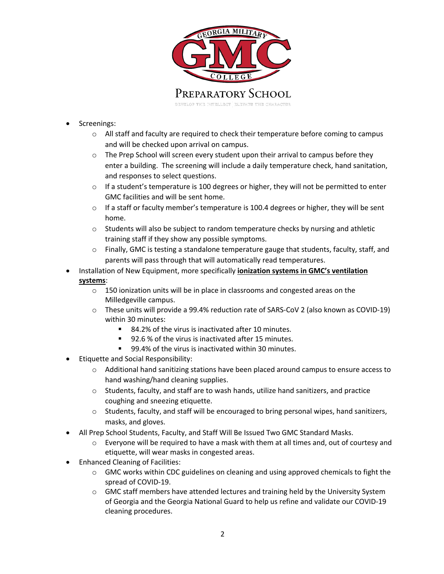

- Screenings:
	- o All staff and faculty are required to check their temperature before coming to campus and will be checked upon arrival on campus.
	- o The Prep School will screen every student upon their arrival to campus before they enter a building. The screening will include a daily temperature check, hand sanitation, and responses to select questions.
	- $\circ$  If a student's temperature is 100 degrees or higher, they will not be permitted to enter GMC facilities and will be sent home.
	- $\circ$  If a staff or faculty member's temperature is 100.4 degrees or higher, they will be sent home.
	- $\circ$  Students will also be subject to random temperature checks by nursing and athletic training staff if they show any possible symptoms.
	- o Finally, GMC is testing a standalone temperature gauge that students, faculty, staff, and parents will pass through that will automatically read temperatures.
- Installation of New Equipment, more specifically **ionization systems in GMC's ventilation systems**:
	- o 150 ionization units will be in place in classrooms and congested areas on the Milledgeville campus.
	- o These units will provide a 99.4% reduction rate of SARS-CoV 2 (also known as COVID-19) within 30 minutes:
		- 84.2% of the virus is inactivated after 10 minutes.
		- 92.6 % of the virus is inactivated after 15 minutes.
		- 99.4% of the virus is inactivated within 30 minutes.
- Etiquette and Social Responsibility:
	- o Additional hand sanitizing stations have been placed around campus to ensure access to hand washing/hand cleaning supplies.
	- o Students, faculty, and staff are to wash hands, utilize hand sanitizers, and practice coughing and sneezing etiquette.
	- o Students, faculty, and staff will be encouraged to bring personal wipes, hand sanitizers, masks, and gloves.
- All Prep School Students, Faculty, and Staff Will Be Issued Two GMC Standard Masks.
	- o Everyone will be required to have a mask with them at all times and, out of courtesy and etiquette, will wear masks in congested areas.
- Enhanced Cleaning of Facilities:
	- o GMC works within CDC guidelines on cleaning and using approved chemicals to fight the spread of COVID-19.
	- $\circ$  GMC staff members have attended lectures and training held by the University System of Georgia and the Georgia National Guard to help us refine and validate our COVID-19 cleaning procedures.